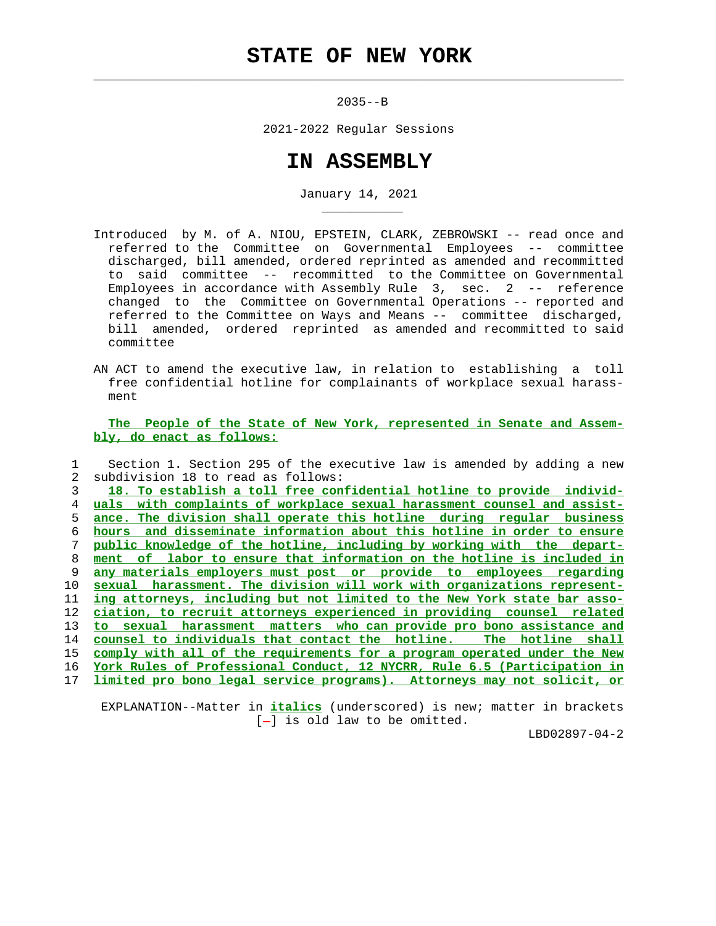## **STATE OF NEW YORK**

 $\mathcal{L}_\text{max} = \frac{1}{2} \sum_{i=1}^{n} \frac{1}{2} \sum_{i=1}^{n} \frac{1}{2} \sum_{i=1}^{n} \frac{1}{2} \sum_{i=1}^{n} \frac{1}{2} \sum_{i=1}^{n} \frac{1}{2} \sum_{i=1}^{n} \frac{1}{2} \sum_{i=1}^{n} \frac{1}{2} \sum_{i=1}^{n} \frac{1}{2} \sum_{i=1}^{n} \frac{1}{2} \sum_{i=1}^{n} \frac{1}{2} \sum_{i=1}^{n} \frac{1}{2} \sum_{i=1}^{n} \frac{1$ 

\_\_\_\_\_\_\_\_\_\_\_

2035--B

2021-2022 Regular Sessions

## **IN ASSEMBLY**

January 14, 2021

- Introduced by M. of A. NIOU, EPSTEIN, CLARK, ZEBROWSKI -- read once and referred to the Committee on Governmental Employees -- committee discharged, bill amended, ordered reprinted as amended and recommitted to said committee -- recommitted to the Committee on Governmental Employees in accordance with Assembly Rule 3, sec. 2 -- reference changed to the Committee on Governmental Operations -- reported and referred to the Committee on Ways and Means -- committee discharged, bill amended, ordered reprinted as amended and recommitted to said committee
- AN ACT to amend the executive law, in relation to establishing a toll free confidential hotline for complainants of workplace sexual harass ment

 **The People of the State of New York, represented in Senate and Assem bly, do enact as follows:**

 1 Section 1. Section 295 of the executive law is amended by adding a new 2 subdivision 18 to read as follows: **18. To establish a toll free confidential hotline to provide individ- uals with complaints of workplace sexual harassment counsel and assist- ance. The division shall operate this hotline during regular business hours and disseminate information about this hotline in order to ensure public knowledge of the hotline, including by working with the depart- ment of labor to ensure that information on the hotline is included in any materials employers must post or provide to employees regarding sexual harassment. The division will work with organizations represent- ing attorneys, including but not limited to the New York state bar asso- ciation, to recruit attorneys experienced in providing counsel related to sexual harassment matters who can provide pro bono assistance and counsel to individuals that contact the hotline. The hotline shall comply with all of the requirements for a program operated under the New York Rules of Professional Conduct, 12 NYCRR, Rule 6.5 (Participation in limited pro bono legal service programs). Attorneys may not solicit, or**

 EXPLANATION--Matter in **italics** (underscored) is new; matter in brackets  $[-]$  is old law to be omitted.

LBD02897-04-2